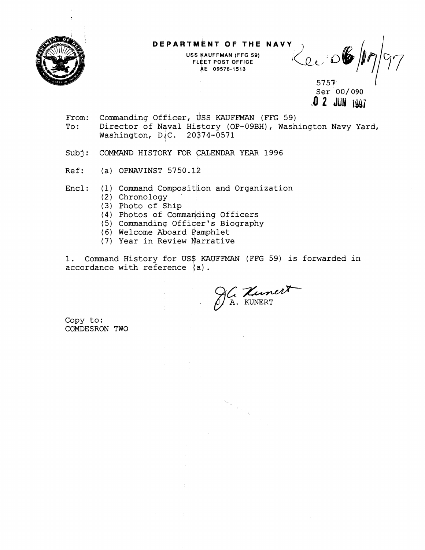

**USS KAUFFMAN (FFG 59) FLEET POST OFFICE h€ 09576-1513** 

**DEPARTMENT OF THE NAVY<br>
USS KAUFFMAN (FFG 59)<br>
FLEET POST OFFICE<br>
AE 09576-1513** 

5757 Ser 00/ 090 **.O 2 JUN** lg\$i

- From: Commanding Officer, USS KAUFFMAN (FFG 59)<br>To: Director of Naval History (OP-09BH), Wash Director of Naval History (OP-09BH), Washington Navy Yard, Washington, D.C. 20374-0571
- Subj: COMMAND HISTORY FOR GALENDAR YEAR 1996
- Ref: (a) OPNAVINST 5750.12

Encl: (1) Command Composition and Organization

- (2) Chronology
- (3) Photo of Ship
- (4) Photos of Commanding Officers
- (5) Commanding Officer's Biography
- (6) Welcome Aboard Pamphlet
- (7) Year in Review Narrative

1. Command History for US\$ KAUFFMAN (FFG 59) is forwarded in accordance with reference (a) .

c-A. KUNERT

 $\begin{aligned} \left\| \phi_{\alpha} \right\|_{L^2_{\frac{1}{2}}} & = \left\| \phi_{\alpha} \right\|_{L^2_{\frac{1}{2}}} \end{aligned}$ 

Copy to: COMDESRON TWO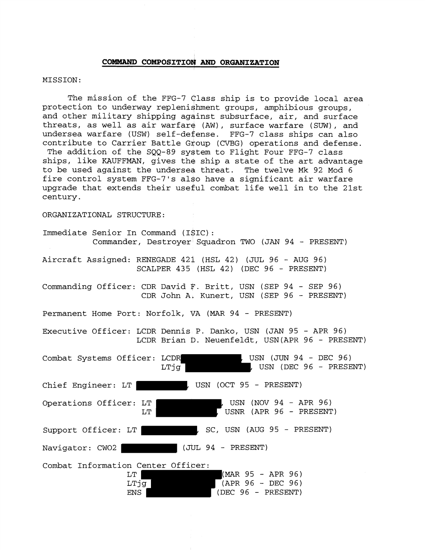## COMMAND COMPOSITION AND ORGANIZATION

## MISSION:

The mission of the FFG-7 class ship is to provide local area protection to underway replenishment groups, amphibious groups, and other military shipping against subsurface, air, and surface threats, as well as air warfare (AW), surface warfare (SUW), and undersea warfare (USW) self-defense. FFG-7 class ships can also contribute to Carrier Battle Group (CVBG) operations and defense. The addition of the SQQ-89 system to Flight Four FFG-7 class ships, like KAUFFMAN, gives the ship a state of the art advantage to be used against the undersea threat. The twelve Mk 92 Mod 6 fire control system FFG-7's also have a significant air warfare upgrade that extends their useful combat life well in to the 21st century.

ORGANIZATIONAL STRUCTURE:

Immediate Senior In Command (I\$IC) : Commander, Destroyer Squadron TWO (JAN 94 - PRESENT)

Aircraft Assigned: RENEGADE 421 (HSL 42) (JUL 96 - AUG 96) SCALPER 435 (HSL 42) (DEC 96 - PRESENT)

Commanding Officer: CDR David F. Britt, USN (SEP 94 - SEP 96) CDR John A, Kunert, USN (SEP 96 - PRESENT)

Permanent Home Port: Norfolk, VA (MAR 94 - PRESENT)

Executive Officer: LCDR Dennis P. Danko, USN (JAN 95 - APR 96) LCDR Brian D. Neuenfeldt, USN(APR 96 - PRESENT)

| Combat Systems Officer: LCDR                      | , USN (JUN 94 - DEC 96)<br>$,$ USN (DEC 96 - PRESENT)<br>LTjg |
|---------------------------------------------------|---------------------------------------------------------------|
| Chief Engineer: LT                                | USN (OCT 95 - PRESENT)                                        |
| Operations Officer: LT<br>LT                      | , USN (NOV 94 - APR 96)<br>$\sqrt{5}$ USNR (APR 96 - PRESENT) |
| Support Officer: LT                               | SC, USN (AUG 95 - PRESENT)                                    |
| Navigator: CWO2                                   | $(JUL 94 - PRESENT)$                                          |
| Combat Information Center Officer:<br>LT.<br>LTjg | (MAR 95 - APR 96)<br>$(APR 96 - DEC 96)$                      |

ENS (DEC 96 - PRESENT)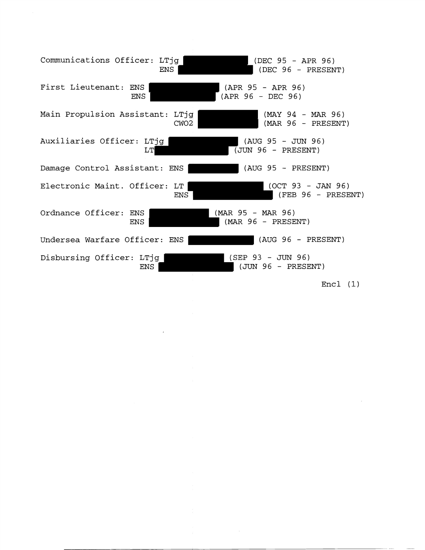| Communications Officer: LTjq           | ENS  | (DEC 95 - APR 96)<br>$(DEC 96 - PRESENT)$            |  |
|----------------------------------------|------|------------------------------------------------------|--|
| First Lieutenant: ENS<br><b>ENS</b>    |      | (APR 95 - APR 96)<br>$(APR 96 - DEC 96)$             |  |
| Main Propulsion Assistant: LTjg        | CWO2 | $(MAY 94 - MAR 96)$<br>(MAR 96 - PRESENT)            |  |
| Auxiliaries Officer: LTjq<br>LT        |      | (AUG 95 - JUN 96)<br>$\overline{(JUN 96 - PRESENT)}$ |  |
| Damage Control Assistant: ENS          |      | $(AUG 95 - PRESENT)$                                 |  |
| Electronic Maint. Officer: LT          | ENS  | $(OCT 93 - JAN 96)$<br>(FEB 96 - PRESENT)            |  |
| Ordnance Officer: ENS<br><b>ENS</b>    |      | (MAR 95 - MAR 96)<br>(MAR 96 - PRESENT)              |  |
| Undersea Warfare Officer: ENS          |      | $(AUG 96 - PRESENT)$                                 |  |
| Disbursing Officer: LTjg<br><b>ENS</b> |      | $(SEP 93 - JUN 96)$<br>$(JUN 96 - PRESENT)$          |  |

 $\sim 10^{11}$ 

 $\sim$   $\sim$ 

 $\sim$ 

Encl $(1)$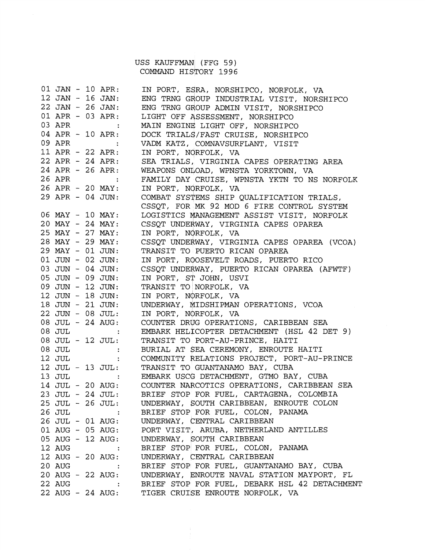USS KAUFFMAN (FFG 59) COMMAND HISTORY 1996

|                  |  | 01 JAN - 10 APR:                                                                                              | IN PORT, ESRA, NORSHIPCO, NORFOLK, VA             |
|------------------|--|---------------------------------------------------------------------------------------------------------------|---------------------------------------------------|
|                  |  | $12$ JAN - 16 JAN:                                                                                            | ENG TRNG GROUP INDUSTRIAL VISIT, NORSHIPCO        |
|                  |  | 22 JAN - 26 JAN:                                                                                              | ENG TRNG GROUP ADMIN VISIT, NORSHIPCO             |
|                  |  | 01 APR - 03 APR:                                                                                              | LIGHT OFF ASSESSMENT, NORSHIPCO                   |
| 03 APR           |  |                                                                                                               | MAIN ENGINE LIGHT OFF, NORSHIPCO                  |
| 04 APR - 10 APR: |  |                                                                                                               | DOCK TRIALS/FAST CRUISE, NORSHIPCO                |
|                  |  | 09 APR :                                                                                                      | VADM KATZ, COMNAVSURFLANT, VISIT                  |
|                  |  | 11 APR - 22 APR:                                                                                              | IN PORT, NORFOLK, VA                              |
|                  |  | 22 APR - 24 APR:                                                                                              | SEA TRIALS, VIRGINIA CAPES OPERATING AREA         |
|                  |  | 24 APR - 26 APR:                                                                                              | WEAPONS ONLOAD, WPNSTA YORKTOWN, VA               |
| 26 APR :         |  |                                                                                                               | FAMILY DAY CRUISE, WPNSTA YKTN TO NS NORFOLK      |
|                  |  | 26 APR - 20 MAY:                                                                                              | IN PORT, NORFOLK, VA                              |
|                  |  | 29 APR - 04 JUN:                                                                                              | COMBAT SYSTEMS SHIP QUALIFICATION TRIALS,         |
|                  |  |                                                                                                               | CSSQT, FOR MK 92 MOD 6 FIRE CONTROL SYSTEM        |
|                  |  | 06 MAY - 10 MAY:                                                                                              | LOGISTICS MANAGEMENT ASSIST VISIT, NORFOLK        |
|                  |  | $20$ MAY - $24$ MAY:                                                                                          | CSSQT UNDERWAY, VIRGINIA CAPES OPAREA             |
|                  |  | 25 MAY - 27 MAY:                                                                                              | IN PORT, NORFOLK, VA                              |
|                  |  | 28 MAY - 29 MAY:                                                                                              | CSSQT UNDERWAY, VIRGINIA CAPES OPAREA (VCOA)      |
|                  |  | 29 MAY - 01 JUN:                                                                                              | TRANSIT TO PUERTO RICAN OPAREA                    |
|                  |  | 01 JUN - 02 JUN:                                                                                              | IN PORT, ROOSEVELT ROADS, PUERTO RICO             |
|                  |  | $03$ JUN - $04$ JUN:                                                                                          | CSSQT UNDERWAY, PUERTO RICAN OPAREA (AFWTF)       |
|                  |  | $05$ JUN - 09 JUN:                                                                                            |                                                   |
|                  |  |                                                                                                               | IN PORT, ST JOHN, USVI                            |
|                  |  | 09 JUN - 12 JUN:                                                                                              | TRANSIT TO NORFOLK, VA                            |
|                  |  | 12 JUN - 18 JUN:                                                                                              | IN PORT, NORFOLK, VA                              |
|                  |  | 18 JUN - 21 JUN:                                                                                              | UNDERWAY, MIDSHIPMAN OPERATIONS, VCOA             |
|                  |  | 22 JUN - 08 JUL:                                                                                              | IN PORT, NORFOLK, VA                              |
|                  |  | 08 JUL - 24 AUG:                                                                                              | COUNTER DRUG OPERATIONS, CARIBBEAN SEA            |
|                  |  | 08 JUL :                                                                                                      | EMBARK HELICOPTER DETACHMENT (HSL 42 DET 9)       |
|                  |  | $08$ JUL - 12 JUL:                                                                                            | TRANSIT TO PORT-AU-PRINCE, HAITI                  |
|                  |  | 08 JUL :                                                                                                      | BURIAL AT SEA CEREMONY, ENROUTE HAITI             |
| 12 JUL           |  |                                                                                                               | COMMUNITY RELATIONS PROJECT, PORT-AU-PRINCE       |
|                  |  | 12 JUL - 13 JUL:                                                                                              | TRANSIT TO GUANTANAMO BAY, CUBA                   |
|                  |  | 13 JUL :                                                                                                      | EMBARK USCG DETACHMENT, GTMO BAY, CUBA            |
|                  |  | 14 JUL - 20 AUG:                                                                                              | COUNTER NARCOTICS OPERATIONS, CARIBBEAN SEA       |
|                  |  | 23 JUL - 24 JUL:                                                                                              | BRIEF STOP FOR FUEL, CARTAGENA, COLOMBIA          |
|                  |  | 25 JUL - 26 JUL:                                                                                              | UNDERWAY, SOUTH CARIBBEAN, ENROUTE COLON          |
| 26 JUL           |  | $\sim$ 100 $\pm$                                                                                              | BRIEF STOP FOR FUEL, COLON, PANAMA                |
|                  |  |                                                                                                               | 26 JUL - 01 AUG: UNDERWAY, CENTRAL CARIBBEAN      |
|                  |  | 01 AUG - 05 AUG:                                                                                              | PORT VISIT, ARUBA, NETHERLAND ANTILLES            |
|                  |  | 05 AUG - 12 AUG:                                                                                              | UNDERWAY, SOUTH CARIBBEAN                         |
| 12 AUG           |  | <b>Contract Contract Contract</b>                                                                             | BRIEF STOP FOR FUEL, COLON, PANAMA                |
|                  |  | 12 AUG - 20 AUG:                                                                                              | UNDERWAY, CENTRAL CARIBBEAN                       |
| 20 AUG           |  | $\mathcal{L}^{\text{max}}(\mathcal{L}^{\text{max}})$ and $\mathcal{L}^{\text{max}}(\mathcal{L}^{\text{max}})$ | BRIEF STOP FOR FUEL, GUANTANAMO BAY, CUBA         |
|                  |  | 20 AUG - 22 AUG:                                                                                              | UNDERWAY, ENROUTE NAVAL STATION MAYPORT, FL       |
| 22 AUG           |  |                                                                                                               | : BRIEF STOP FOR FUEL, DEBARK HSL 42 DETACHMENT   |
|                  |  |                                                                                                               | 22 AUG - 24 AUG: TIGER CRUISE ENROUTE NORFOLK, VA |
|                  |  |                                                                                                               |                                                   |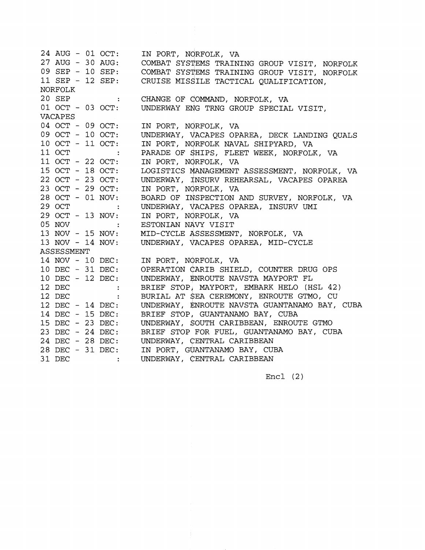24 AUG - 01 OCT: IN PORT, NORFOLK, VA 27 AUG - 30 AUG: EMS TRAINING GROUP VISIT, NORFOLK 09 SEP - 10 SEP: EMS TRAINING GROUP VISIT, NORFOLK 11 SEP - 12 SEP: TACTICAL QUALIFICATION, NORFOLK 20 SEP CHANGE OF QOMMAND, NORFOLK, VA 20 SEP :<br>01 OCT - 03 OCT: UNDERWAY ENG TRNG GROUP SPECIAL VISIT, VACAPES 04 OCT - 09 OCT: IN PORT, NORFOLK, VA 09 OCT - 10 OCT: UNDERWAY, VACAPES OPAREA, DECK LANDING OUALS 10 OCT - 11 OCT: IN PORT, NORFOLK NAVAL SHIPYARD, VA 11 OCT 11 OCT :<br>11 OCT - 22 OCT: PARADE OF SHIPS, FLEET WEEK, NORFOLK, VA IN PORT, NORFOLK, VA 15 OCT - 18 OCT: LOGISTICS MANAGEMENT ASSESSMENT, NORFOLK, VA LOGISTICS RANAGEMENT ASSESSMENT, NONFOLK, 22 OCT - 23 OCT: IN PORT, NORFOLK, VA 23 OCT - 29 OCT: 28 OCT - 01 NOV: BOARD OF INSPECTION AND SURVEY, NORFOLK, VA 29 OCT UNDERWAY, VACAPES OPAREA, INSURV UMI 29 OCT :<br>29 OCT - 13 NOV:<br>05 NOV : IN PORT, NORFOLK, VA 05 NOV ESTONIAN NAVY VISIT 13 NOV - 15 NOV: MID-CYCLE ASSESSMENT, NORFOLK, VA UNDERWAY, VACAPES OPAREA, MID-CYCLE 13 NOV - 14 NOV: ASSESSMENT IN PORT, NORFOLK, VA 14 NOV - 10 DEC: OPERATION CARIB SHIELD, COUNTER DRUG OPS 10 DEC - 31 DEC: 10 DEC - 12 DEC: UNDERWAY, FNROUTE NAVSTA MAYPORT FL 12 DEC :<br>12 DEC : BRIEF STOPj MAYPORT, EMBARK HELO (HSL 42)  $\sim 1000$ 12 DEC BURIAL AT SEA CEREMONY, ENROUTE GTMO, CU UNDERWAY, ENROUTE NAVSTA GUANTANAMO BAY, CUBA 12 DEC - 14 DEC: BRIEF STOP, GUANTANAMO BAY, CUBA 14 DEC - 15 DEC: UNDERWAY, \$OUTH CARIBBEAN, ENROUTE GTMO 15 DEC - 23 DEC: BRIEF STOP FOR FUEL, GUANTANAMO BAY, CUBA 23 DEC - 24 DEC: 24 DEC - 28 DEC: UNDERWAY, CENTRAL CARIBBEAN IN PORT, GUANTANAMO BAY, CUBA 28 DEC - 31 DEC: UNDERWAY, CENTRAL CARIBBEAN 31 DEC

Encl (2)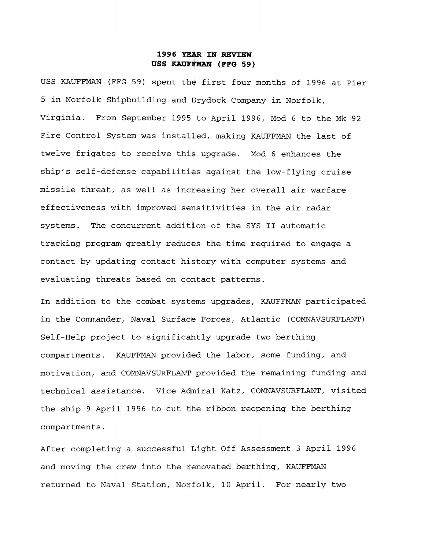## **1996 IN REVIEW**   $USS$  **KAUFFMAN** (FFG 59)

USS KAUFFMAN (FFG 59) spent the first four months of 1996 at Pier 5 in Norfolk Shipbuilding and Drydock Company in Norfolk, Virginia. From September 1995 to April 1996, Mod 6 to the Mk 92 Fire Control System was installed, making KAUFFMAN the last of twelve frigates to receive this upgrade. Mod 6 enhances the ship's self-defense capabilities against the low-flying cruise missile threat, as well as incteasing her overall air warfare effectiveness with improved sensitivities in the air radar systems. The concurrent addition of the SYS I1 automatic tracking program greatly reduces the time required to engage a contact by updating contact history with computer systems and evaluating threats based on cohtact patterns.

In addition to the combat systems upgrades, KAUFFMAN participated in the Commander, Naval Surface Forces, Atlantic (COMNAVSURFLANT) Self-Help project to significantly upgrade two berthing compartments. KAUFFMAN provided the labor, some funding, and motivation, and COMNAVSURFLANT provided the remaining funding and technical assistance. Vice Admiral Katz, COMNAVSURFLANT, visited the ship 9 April 1996 to cut the ribbon reopening the berthing compartments.

After completing a successful Light Off Assessment 3 April 1996 and moving the crew into the renovated berthing, KAUFFMAN returned to Naval Station, Norfolk, 10 April. For nearly two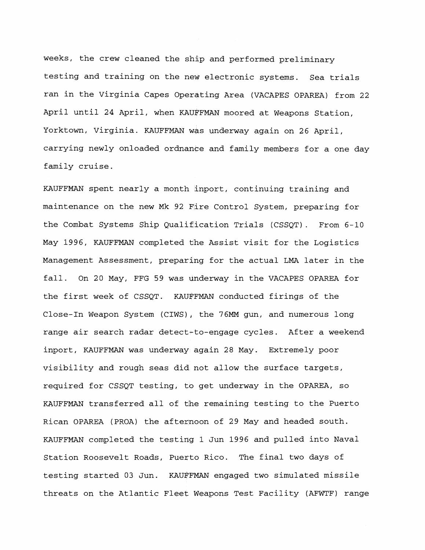weeks, the crew cleaned the ship and performed preliminary testing and training on the new electronic systems. Sea trials ran in the Virginia Capes Operating Area (VACAPES OPAREA) from 22 April until 24 April, when KAUFFMAN moored at Weapons Station, Yorktown, Virginia. KAUFFMAN w&s underway again on 26 April, carrying newly onloaded ordnance and family members for a one day family cruise.

KAUFFMAN spent nearly a month inport, continuing training and maintenance on the new Mk 92 Fire Control System, preparing for the Combat Systems Ship Qualification Trials (CSSQT). From  $6-10$ May 1996, KAUFFMAN completed the Assist visit for the Logistics Management Assessment, preparing for the actual LMA later in the fall. On 20 May, FFG 59 was dnderway in the VACAPES OPAREA for the first week of CSSQT. KAUFFMAN conducted firings of the Close-In Weapon System (CIWS), the 76MM gun, and numerous long range air search radar detect+to-engage cycles. After a weekend inport, KAUFFMAN was underway again 28 May. Extremely poor visibility and rough seas did not allow the surface targets, required for CSSQT testing, to get underway in the OPAREA, so KAUFFMAN transferred all of the remaining testing to the Puerto Rican OPAREA (PROA) the afternoon of 29 May and headed south. KAUFFMAN completed the testing 1 Jun 1996 and pulled into Naval Station Roosevelt Roads, Puerto Rico. The final two days of testing started 03 Jun. KAUFFMAN engaged two simulated missile threats on the Atlantic Fleet Weapons Test Facility (AFWTF) range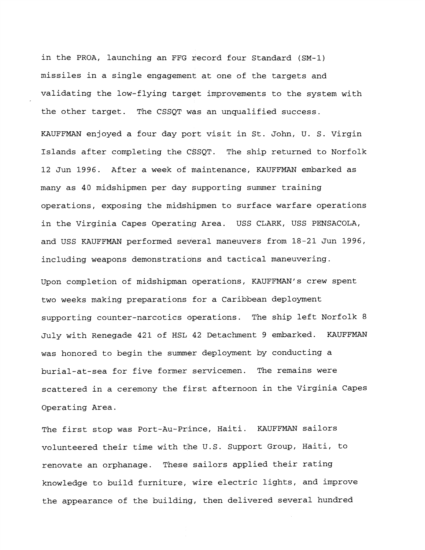in the PROA, launching an FFG record four Standard (SM-1) missiles in a single engagement at one of the targets and validating the low-flying target improvements to the system with the other target. The CSSQT WAS an unqualified success.

KAUFFMAN enjoyed a four day port visit in St. John, U. S. Virgin Islands after completing the CGSQT. The ship returned to Norfolk 12 Jun 1996. After a week of fnaintenance, KAUFFMAN embarked as many as 40 midshipmen per day bupporting summer training operations, exposing the midshipmen to surface warfare operations in the Virginia Capes Operating Area. USS CLARK, USS PENSACOLA, and USS KAUFFMAN performed several maneuvers from 18-21 Jun 1996, including weapons demonstratidns and tactical maneuvering.

Upon completion of midshipman operations, KAUFFMAN's crew spent two weeks making preparations for a Caribbean deployment supporting counter-narcotics dperations. The ship left Norfolk 8 July with Renegade 421 of HSL 42 Detachment 9 embarked. KAUFFMAN was honored to begin the summer deployment by conducting a burial-at-sea for five former servicemen. The remains were scattered in a ceremony the first afternoon in the Virginia Capes Operating Area.

The first stop was Port-Au-Prince, Haiti. KAUFFMAN sailors volunteered their time with the U.S. Support Group, Haiti, to renovate an orphanage. These sailors applied their rating knowledge to build furniture, wire electric lights, and improve the appearance of the building, then delivered several hundred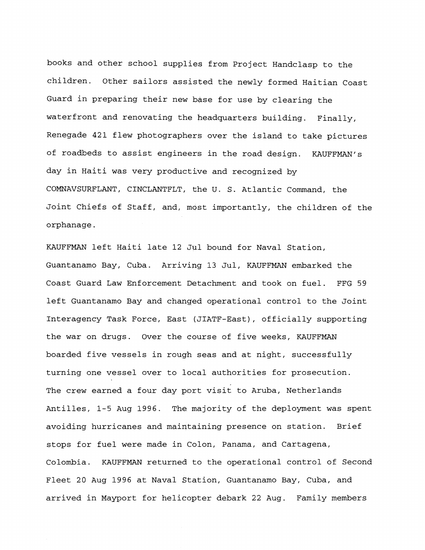books and other school supplies from Project Handclasp to the children. Other sailors assisted the newly formed Haitian Coast Guard in preparing their new base for use by clearing the waterfront and renovating the headquarters building. Finally, Renegade 421 flew photographers over the island to take pictures of roadbeds to assist engineers in the road design. KAUFFMAN's day in Haiti was very productive and recognized by COMNAVSURFLANT, CINCLANTFLT, Che U. S. Atlantic Command, the Joint Chiefs of Staff, and, most importantly, the children of the orphanage.

KAUFFMAN left Haiti late 12 Jul bound for Naval Station, Guantanamo Bay, Cuba. Arrivipg 13 Jul, KAUFFMAN embarked the Coast Guard Law Enforcement Detachment and took on fuel. FFG 59 left Guantanamo Bay and changed operational control to the Joint Interagency Task Force, East (JIATF-East), officially supporting the war on drugs. Over the course of five weeks, KAUFFMAN boarded five vessels in rough seas and at night, successfully turning one vessel over to local authorities for prosecution. The crew earned a four day port visit to Aruba, Netherlands Antilles, 1-5 Aug 1996. The majority of the deployment was spent avoiding hurricanes and maintaining presence on station. Brief stops for fuel were made in Colon, Panama, and Cartagena, Colombia. KAUFFMAN returned to the operational control of Second Fleet 20 Aug 1996 at Naval \$tation, Guantanamo Bay, Cuba, and arrived in Mayport for helicopter debark 22 Aug. Family members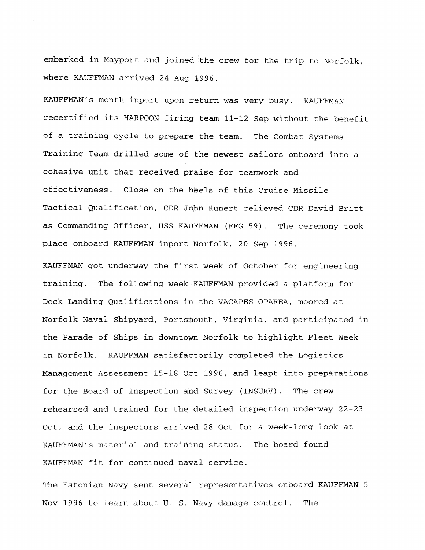embarked in Mayport and joined the crew for the trip to Norfolk, where KAUFFMAN arrived 24 Aug 1996.

KAUFFMAN's month inport upon return was very busy. KAUFFMAN recertified its HARPOON firing team **11-12** Sep without the benefit of a training cycle to prepare the team. The Combat Systems Training Team drilled some of the newest sailors onboard into a cohesive unit that received praise for teamwork and effectiveness. Close on the heels of this Cruise Missile Tactical Qualification, CDR John Kunert relieved CDR David Britt as Commanding Officer, USS KAUFFMAN (FFG 59). The ceremony took place onboard KAUFFMAN inport Norfolk, 20 Sep 1996.

KAUFFMAN got underway the first week of October for engineering training. The following week KAUFFMAN provided a platform for Deck Landing Qualifications in the VACAPES OPAREA, moored at Norfolk Naval Shipyard, Portsmouth, Virginia, and participated in the Parade of Ships in downtown Norfolk to highlight Fleet Week in Norfolk. KAUFFMAN satisfactorily completed the Logistics Management Assessment **15-18** Oct 1996, and leapt into preparations for the Board of Inspection and Survey (INSURV). The crew rehearsed and trained for the detailed inspection underway 22-23 Oct, and the inspectors arrived **28** Oct for a week-long look at KAUFFMAN's material and training status. The board found KAUFFMAN fit for continued naval service.

The Estonian Navy sent several representatives onboard KAUFFMAN 5 Nov 1996 to learn about U. S. Navy damage control. The